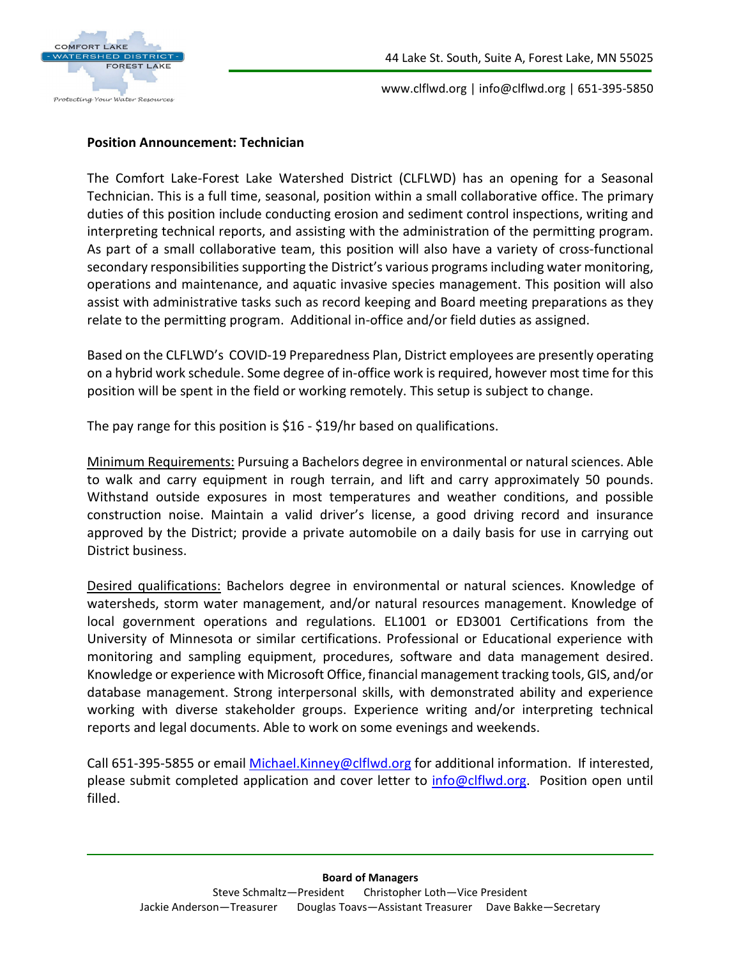

www.clflwd.org | info@clflwd.org | 651-395-5850

### **Position Announcement: Technician**

The Comfort Lake-Forest Lake Watershed District (CLFLWD) has an opening for a Seasonal Technician. This is a full time, seasonal, position within a small collaborative office. The primary duties of this position include conducting erosion and sediment control inspections, writing and interpreting technical reports, and assisting with the administration of the permitting program. As part of a small collaborative team, this position will also have a variety of cross-functional secondary responsibilities supporting the District's various programs including water monitoring, operations and maintenance, and aquatic invasive species management. This position will also assist with administrative tasks such as record keeping and Board meeting preparations as they relate to the permitting program. Additional in-office and/or field duties as assigned.

Based on the CLFLWD's COVID-19 Preparedness Plan, District employees are presently operating on a hybrid work schedule. Some degree of in-office work is required, however most time for this position will be spent in the field or working remotely. This setup is subject to change.

The pay range for this position is \$16 - \$19/hr based on qualifications.

Minimum Requirements: Pursuing a Bachelors degree in environmental or natural sciences. Able to walk and carry equipment in rough terrain, and lift and carry approximately 50 pounds. Withstand outside exposures in most temperatures and weather conditions, and possible construction noise. Maintain a valid driver's license, a good driving record and insurance approved by the District; provide a private automobile on a daily basis for use in carrying out District business.

Desired qualifications: Bachelors degree in environmental or natural sciences. Knowledge of watersheds, storm water management, and/or natural resources management. Knowledge of local government operations and regulations. EL1001 or ED3001 Certifications from the University of Minnesota or similar certifications. Professional or Educational experience with monitoring and sampling equipment, procedures, software and data management desired. Knowledge or experience with Microsoft Office, financial management tracking tools, GIS, and/or database management. Strong interpersonal skills, with demonstrated ability and experience working with diverse stakeholder groups. Experience writing and/or interpreting technical reports and legal documents. Able to work on some evenings and weekends.

Call 651-395-5855 or email [Michael.Kinney@clflwd.org](mailto:Michael.Kinney@clflwd.org) for additional information. If interested, please submit completed application and cover letter to [info@clflwd.org.](mailto:info@clflwd.org) Position open until filled.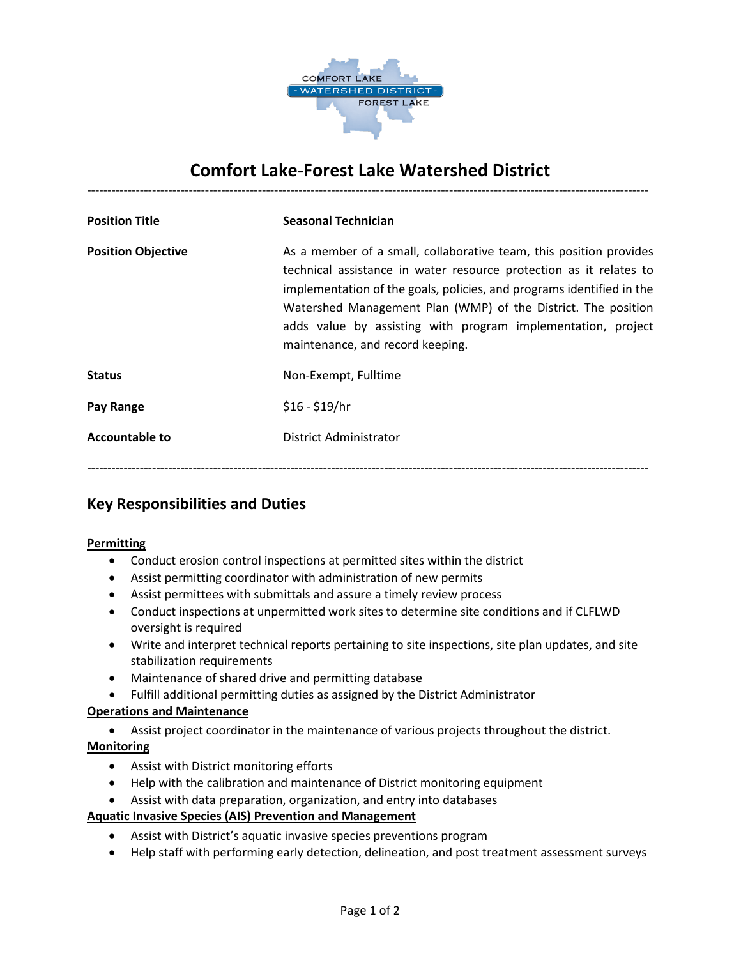

# **Comfort Lake-Forest Lake Watershed District** ------------------------------------------------------------------------------------------------------------------------------------------

| <b>Position Title</b>     | <b>Seasonal Technician</b>                                                                                                                                                                                                                                                                                                                                                             |
|---------------------------|----------------------------------------------------------------------------------------------------------------------------------------------------------------------------------------------------------------------------------------------------------------------------------------------------------------------------------------------------------------------------------------|
| <b>Position Objective</b> | As a member of a small, collaborative team, this position provides<br>technical assistance in water resource protection as it relates to<br>implementation of the goals, policies, and programs identified in the<br>Watershed Management Plan (WMP) of the District. The position<br>adds value by assisting with program implementation, project<br>maintenance, and record keeping. |
| <b>Status</b>             | Non-Exempt, Fulltime                                                                                                                                                                                                                                                                                                                                                                   |
| Pay Range                 | $$16 - $19/hr$                                                                                                                                                                                                                                                                                                                                                                         |
| <b>Accountable to</b>     | District Administrator                                                                                                                                                                                                                                                                                                                                                                 |
|                           |                                                                                                                                                                                                                                                                                                                                                                                        |

### **Key Responsibilities and Duties**

#### **Permitting**

- Conduct erosion control inspections at permitted sites within the district
- Assist permitting coordinator with administration of new permits
- Assist permittees with submittals and assure a timely review process
- Conduct inspections at unpermitted work sites to determine site conditions and if CLFLWD oversight is required
- Write and interpret technical reports pertaining to site inspections, site plan updates, and site stabilization requirements
- Maintenance of shared drive and permitting database
- Fulfill additional permitting duties as assigned by the District Administrator

#### **Operations and Maintenance**

• Assist project coordinator in the maintenance of various projects throughout the district. **Monitoring** 

- Assist with District monitoring efforts
- Help with the calibration and maintenance of District monitoring equipment
- Assist with data preparation, organization, and entry into databases

#### **Aquatic Invasive Species (AIS) Prevention and Management**

- Assist with District's aquatic invasive species preventions program
- Help staff with performing early detection, delineation, and post treatment assessment surveys